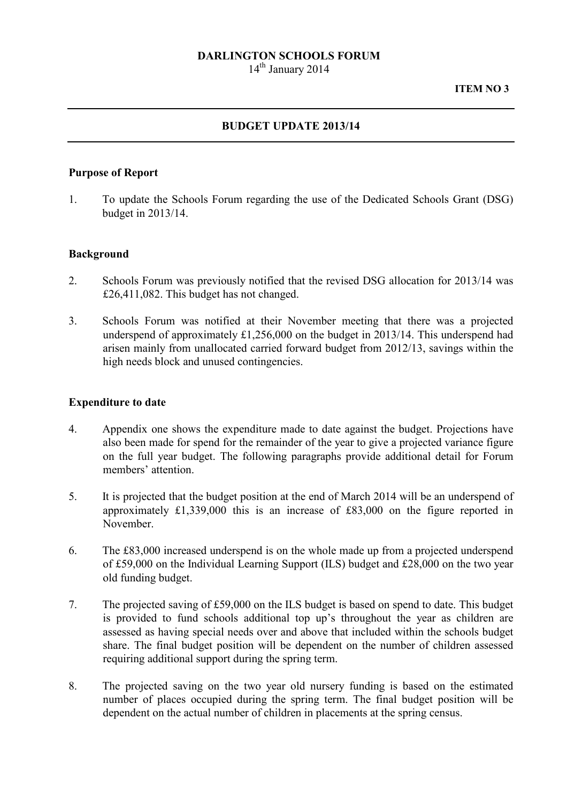### DARLINGTON SCHOOLS FORUM

 $14<sup>th</sup>$  January 2014

# BUDGET UPDATE 2013/14

### Purpose of Report

1. To update the Schools Forum regarding the use of the Dedicated Schools Grant (DSG) budget in 2013/14.

### Background

- 2. Schools Forum was previously notified that the revised DSG allocation for 2013/14 was £26,411,082. This budget has not changed.
- 3. Schools Forum was notified at their November meeting that there was a projected underspend of approximately £1,256,000 on the budget in 2013/14. This underspend had arisen mainly from unallocated carried forward budget from 2012/13, savings within the high needs block and unused contingencies.

#### Expenditure to date

- 4. Appendix one shows the expenditure made to date against the budget. Projections have also been made for spend for the remainder of the year to give a projected variance figure on the full year budget. The following paragraphs provide additional detail for Forum members' attention.
- 5. It is projected that the budget position at the end of March 2014 will be an underspend of approximately £1,339,000 this is an increase of £83,000 on the figure reported in November.
- 6. The £83,000 increased underspend is on the whole made up from a projected underspend of £59,000 on the Individual Learning Support (ILS) budget and £28,000 on the two year old funding budget.
- 7. The projected saving of £59,000 on the ILS budget is based on spend to date. This budget is provided to fund schools additional top up's throughout the year as children are assessed as having special needs over and above that included within the schools budget share. The final budget position will be dependent on the number of children assessed requiring additional support during the spring term.
- 8. The projected saving on the two year old nursery funding is based on the estimated number of places occupied during the spring term. The final budget position will be dependent on the actual number of children in placements at the spring census.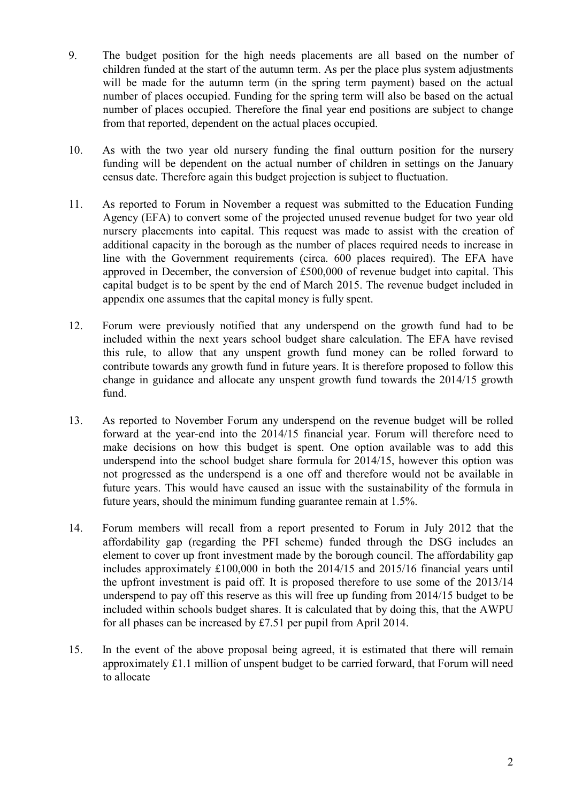- 9. The budget position for the high needs placements are all based on the number of children funded at the start of the autumn term. As per the place plus system adjustments will be made for the autumn term (in the spring term payment) based on the actual number of places occupied. Funding for the spring term will also be based on the actual number of places occupied. Therefore the final year end positions are subject to change from that reported, dependent on the actual places occupied.
- 10. As with the two year old nursery funding the final outturn position for the nursery funding will be dependent on the actual number of children in settings on the January census date. Therefore again this budget projection is subject to fluctuation.
- 11. As reported to Forum in November a request was submitted to the Education Funding Agency (EFA) to convert some of the projected unused revenue budget for two year old nursery placements into capital. This request was made to assist with the creation of additional capacity in the borough as the number of places required needs to increase in line with the Government requirements (circa. 600 places required). The EFA have approved in December, the conversion of £500,000 of revenue budget into capital. This capital budget is to be spent by the end of March 2015. The revenue budget included in appendix one assumes that the capital money is fully spent.
- 12. Forum were previously notified that any underspend on the growth fund had to be included within the next years school budget share calculation. The EFA have revised this rule, to allow that any unspent growth fund money can be rolled forward to contribute towards any growth fund in future years. It is therefore proposed to follow this change in guidance and allocate any unspent growth fund towards the 2014/15 growth fund.
- 13. As reported to November Forum any underspend on the revenue budget will be rolled forward at the year-end into the 2014/15 financial year. Forum will therefore need to make decisions on how this budget is spent. One option available was to add this underspend into the school budget share formula for 2014/15, however this option was not progressed as the underspend is a one off and therefore would not be available in future years. This would have caused an issue with the sustainability of the formula in future years, should the minimum funding guarantee remain at 1.5%.
- 14. Forum members will recall from a report presented to Forum in July 2012 that the affordability gap (regarding the PFI scheme) funded through the DSG includes an element to cover up front investment made by the borough council. The affordability gap includes approximately £100,000 in both the 2014/15 and 2015/16 financial years until the upfront investment is paid off. It is proposed therefore to use some of the 2013/14 underspend to pay off this reserve as this will free up funding from 2014/15 budget to be included within schools budget shares. It is calculated that by doing this, that the AWPU for all phases can be increased by £7.51 per pupil from April 2014.
- 15. In the event of the above proposal being agreed, it is estimated that there will remain approximately £1.1 million of unspent budget to be carried forward, that Forum will need to allocate